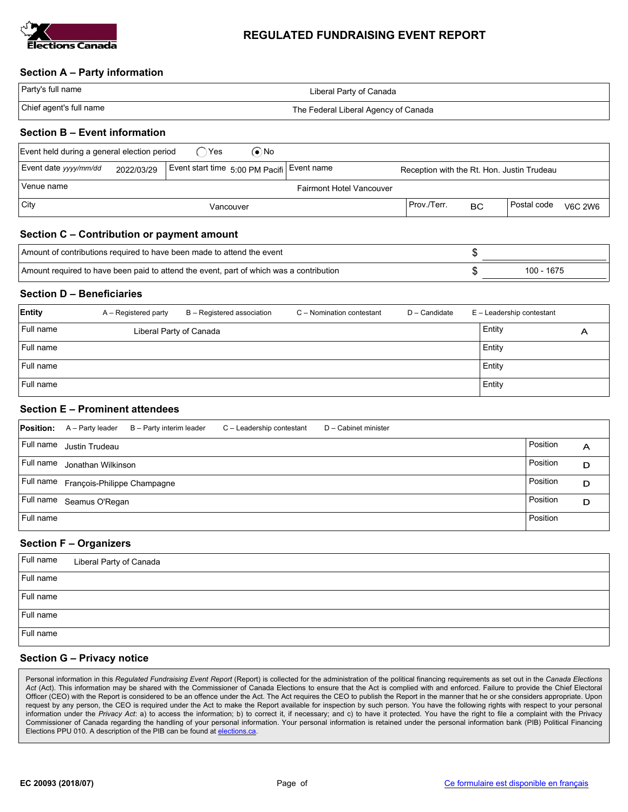

#### REGULATED FUNDRAISING EVENT REPORT

#### Section A – Party information

| Party's full name       | Liberal Party of Canada              |
|-------------------------|--------------------------------------|
| Chief agent's full name | The Federal Liberal Agency of Canada |

#### Section B – Event information

| ົ`Yes<br>Event held during a general election period<br>(●`No                                                                   |  |  |           |  |             |           |             |                |
|---------------------------------------------------------------------------------------------------------------------------------|--|--|-----------|--|-------------|-----------|-------------|----------------|
| Event date yyyy/mm/dd<br>Event start time 5:00 PM Pacifi Event name<br>2022/03/29<br>Reception with the Rt. Hon. Justin Trudeau |  |  |           |  |             |           |             |                |
| Venue name<br><b>Fairmont Hotel Vancouver</b>                                                                                   |  |  |           |  |             |           |             |                |
| $ $ City                                                                                                                        |  |  | Vancouver |  | Prov./Terr. | <b>BC</b> | Postal code | <b>V6C 2W6</b> |

## Section C – Contribution or payment amount

| Amount of contributions required to have been made to attend the event                  |            |
|-----------------------------------------------------------------------------------------|------------|
| Amount required to have been paid to attend the event, part of which was a contribution | 100 - 1675 |

## Section D – Beneficiaries

| Entity    | A – Registered party    | B - Registered association | C - Nomination contestant | D - Candidate | E - Leadership contestant |   |
|-----------|-------------------------|----------------------------|---------------------------|---------------|---------------------------|---|
| Full name | Liberal Party of Canada |                            |                           |               | Entity                    | Α |
| Full name |                         |                            |                           |               | Entity                    |   |
| Full name |                         |                            |                           |               | Entity                    |   |
| Full name |                         |                            |                           |               | Entity                    |   |

# Section E – Prominent attendees

|           | <b>Position:</b> A - Party leader     | B - Party interim leader | C - Leadership contestant | D - Cabinet minister |          |   |
|-----------|---------------------------------------|--------------------------|---------------------------|----------------------|----------|---|
|           | Full name Justin Trudeau              |                          |                           |                      | Position | A |
| Full name | Jonathan Wilkinson                    |                          |                           |                      | Position | D |
|           | Full name François-Philippe Champagne |                          |                           |                      | Position | D |
|           | Full name Seamus O'Regan              |                          |                           |                      | Position | D |
| Full name |                                       |                          |                           |                      | Position |   |

## Section F – Organizers

|           | Full name Liberal Party of Canada |
|-----------|-----------------------------------|
| Full name |                                   |
| Full name |                                   |
| Full name |                                   |
| Full name |                                   |

# Section G – Privacy notice

Personal information in this Regulated Fundraising Event Report (Report) is collected for the administration of the political financing requirements as set out in the Canada Elections Act (Act). This information may be shared with the Commissioner of Canada Elections to ensure that the Act is complied with and enforced. Failure to provide the Chief Electoral Officer (CEO) with the Report is considered to be an offence under the Act. The Act requires the CEO to publish the Report in the manner that he or she considers appropriate. Upon request by any person, the CEO is required under the Act to make the Report available for inspection by such person. You have the following rights with respect to your personal information under the Privacy Act: a) to access the information; b) to correct it, if necessary; and c) to have it protected. You have the right to file a complaint with the Privacy Commissioner of Canada regarding the handling of your personal information. Your personal information is retained under the personal information bank (PIB) Political Financing Elections PPU 010. A description of the PIB can be found at elections.ca.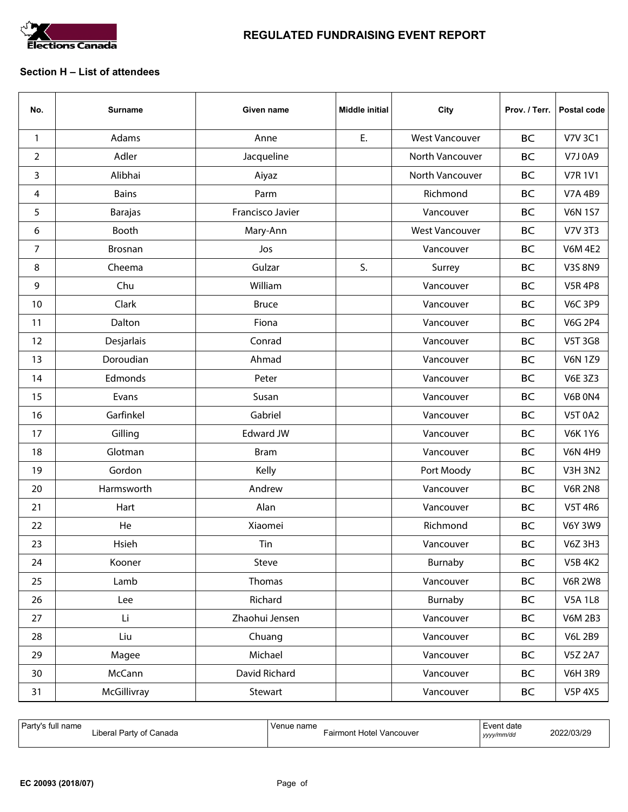

# REGULATED FUNDRAISING EVENT REPORT

#### Section H – List of attendees

| No. | <b>Surname</b> | Given name       | <b>Middle initial</b> | City                  | Prov. / Terr. | Postal code    |
|-----|----------------|------------------|-----------------------|-----------------------|---------------|----------------|
| 1   | Adams          | Anne             | E.                    | <b>West Vancouver</b> | <b>BC</b>     | <b>V7V 3C1</b> |
| 2   | Adler          | Jacqueline       |                       | North Vancouver       | <b>BC</b>     | V7J0A9         |
| 3   | Alibhai        | Aiyaz            |                       | North Vancouver       | <b>BC</b>     | <b>V7R1V1</b>  |
| 4   | <b>Bains</b>   | Parm             |                       | Richmond              | <b>BC</b>     | V7A 4B9        |
| 5   | <b>Barajas</b> | Francisco Javier |                       | Vancouver             | <b>BC</b>     | <b>V6N 1S7</b> |
| 6   | Booth          | Mary-Ann         |                       | <b>West Vancouver</b> | <b>BC</b>     | <b>V7V 3T3</b> |
| 7   | <b>Brosnan</b> | Jos              |                       | Vancouver             | <b>BC</b>     | <b>V6M 4E2</b> |
| 8   | Cheema         | Gulzar           | S.                    | Surrey                | <b>BC</b>     | V3S 8N9        |
| 9   | Chu            | William          |                       | Vancouver             | <b>BC</b>     | <b>V5R4P8</b>  |
| 10  | Clark          | <b>Bruce</b>     |                       | Vancouver             | <b>BC</b>     | <b>V6C 3P9</b> |
| 11  | Dalton         | Fiona            |                       | Vancouver             | <b>BC</b>     | <b>V6G 2P4</b> |
| 12  | Desjarlais     | Conrad           |                       | Vancouver             | <b>BC</b>     | V5T 3G8        |
| 13  | Doroudian      | Ahmad            |                       | Vancouver             | <b>BC</b>     | <b>V6N 1Z9</b> |
| 14  | Edmonds        | Peter            |                       | Vancouver             | <b>BC</b>     | <b>V6E 3Z3</b> |
| 15  | Evans          | Susan            |                       | Vancouver             | <b>BC</b>     | <b>V6B 0N4</b> |
| 16  | Garfinkel      | Gabriel          |                       | Vancouver             | <b>BC</b>     | <b>V5T 0A2</b> |
| 17  | Gilling        | <b>Edward JW</b> |                       | Vancouver             | <b>BC</b>     | <b>V6K1Y6</b>  |
| 18  | Glotman        | <b>Bram</b>      |                       | Vancouver             | <b>BC</b>     | <b>V6N 4H9</b> |
| 19  | Gordon         | Kelly            |                       | Port Moody            | <b>BC</b>     | <b>V3H 3N2</b> |
| 20  | Harmsworth     | Andrew           |                       | Vancouver             | <b>BC</b>     | <b>V6R 2N8</b> |
| 21  | Hart           | Alan             |                       | Vancouver             | <b>BC</b>     | <b>V5T 4R6</b> |
| 22  | He             | Xiaomei          |                       | Richmond              | <b>BC</b>     | <b>V6Y 3W9</b> |
| 23  | Hsieh          | Tin              |                       | Vancouver             | <b>BC</b>     | V6Z 3H3        |
| 24  | Kooner         | Steve            |                       | Burnaby               | <b>BC</b>     | <b>V5B 4K2</b> |
| 25  | Lamb           | Thomas           |                       | Vancouver             | <b>BC</b>     | <b>V6R 2W8</b> |
| 26  | Lee            | Richard          |                       | Burnaby               | <b>BC</b>     | <b>V5A 1L8</b> |
| 27  | Li             | Zhaohui Jensen   |                       | Vancouver             | <b>BC</b>     | <b>V6M 2B3</b> |
| 28  | Liu            | Chuang           |                       | Vancouver             | <b>BC</b>     | <b>V6L 2B9</b> |
| 29  | Magee          | Michael          |                       | Vancouver             | BC            | <b>V5Z 2A7</b> |
| 30  | McCann         | David Richard    |                       | Vancouver             | <b>BC</b>     | <b>V6H 3R9</b> |
| 31  | McGillivray    | Stewart          |                       | Vancouver             | <b>BC</b>     | <b>V5P 4X5</b> |

| Party's full name       | Venue name                      | l Event date | 2022/03/29 |
|-------------------------|---------------------------------|--------------|------------|
| Liberal Party of Canada | <b>Fairmont Hotel Vancouver</b> | yyyy/mm/dd   |            |